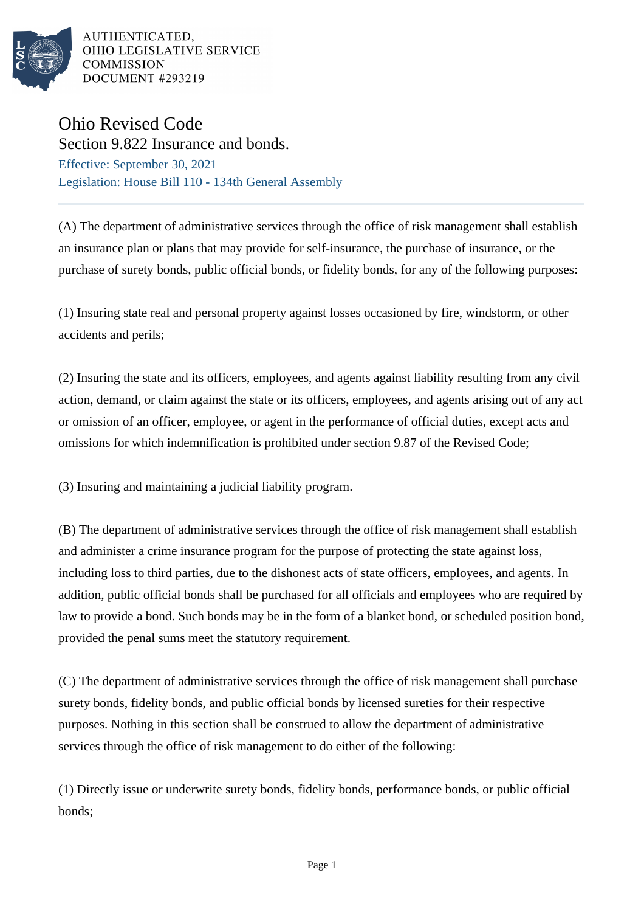

AUTHENTICATED. OHIO LEGISLATIVE SERVICE **COMMISSION DOCUMENT #293219** 

## Ohio Revised Code

Section 9.822 Insurance and bonds. Effective: September 30, 2021 Legislation: House Bill 110 - 134th General Assembly

(A) The department of administrative services through the office of risk management shall establish an insurance plan or plans that may provide for self-insurance, the purchase of insurance, or the purchase of surety bonds, public official bonds, or fidelity bonds, for any of the following purposes:

(1) Insuring state real and personal property against losses occasioned by fire, windstorm, or other accidents and perils;

(2) Insuring the state and its officers, employees, and agents against liability resulting from any civil action, demand, or claim against the state or its officers, employees, and agents arising out of any act or omission of an officer, employee, or agent in the performance of official duties, except acts and omissions for which indemnification is prohibited under section 9.87 of the Revised Code;

(3) Insuring and maintaining a judicial liability program.

(B) The department of administrative services through the office of risk management shall establish and administer a crime insurance program for the purpose of protecting the state against loss, including loss to third parties, due to the dishonest acts of state officers, employees, and agents. In addition, public official bonds shall be purchased for all officials and employees who are required by law to provide a bond. Such bonds may be in the form of a blanket bond, or scheduled position bond, provided the penal sums meet the statutory requirement.

(C) The department of administrative services through the office of risk management shall purchase surety bonds, fidelity bonds, and public official bonds by licensed sureties for their respective purposes. Nothing in this section shall be construed to allow the department of administrative services through the office of risk management to do either of the following:

(1) Directly issue or underwrite surety bonds, fidelity bonds, performance bonds, or public official bonds;